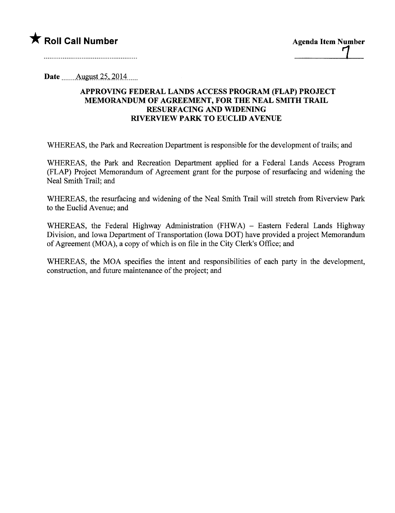## \* Roll Call Number Agenda Item Number L

Date  $\frac{\text{August }25,2014}{\text{August }25,2014}$ 

## APPROVING FEDERAL LANDS ACCESS PROGRAM (FLAP) PROJECT MEMORANDUM OF AGREEMENT, FOR THE NEAL SMITH TRAIL RESURFACING AND WIDENING RIVERVIEW PARK TO EUCLID AVENUE

WHEREAS, the Park and Recreation Department is responsible for the development of trails; and

WHEREAS, the Park and Recreation Deparment applied for a Federal Lands Access Program (FLAP) Project Memorandum of Agreement grant for the purpose of resurfacing and widening the Neal Smith Trail; and

WHEREAS, the resurfacing and widening of the Neal Smith Trail will stretch from Riverview Park to the Euclid Avenue; and

WHEREAS, the Federal Highway Administration (FHWA) - Eastern Federal Lands Highway Division, and Iowa Department of Transportation (Iowa DOT) have provided a project Memorandum of Agreement (MOA), a copy of which is on file in the City Clerk's Office; and

WHEREAS, the MOA specifies the intent and responsibilities of each party in the development, construction, and future maintenance of the project; and